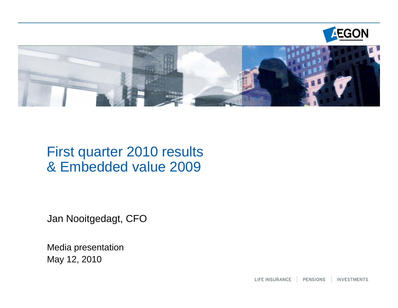



# First quarter 2010 results & Embedded value 2009

Jan Nooitgedagt, CFO

Media presentation May 12, 2010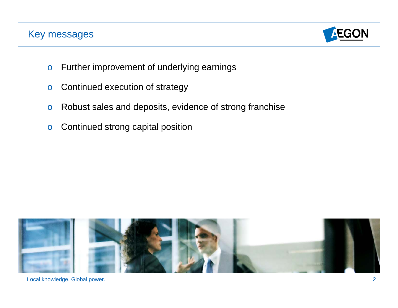## Key messages



- oFurther improvement of underlying earnings
- oContinued execution of strategy
- oRobust sales and deposits, evidence of strong franchise
- oContinued strong capital position

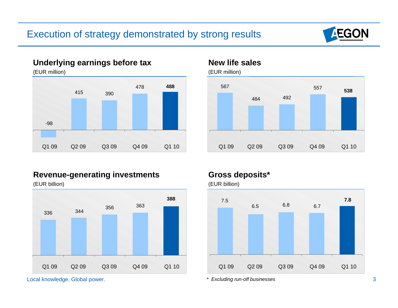

#### **Underlying earnings before tax**

(EUR million)



#### **New life sales**



#### **Revenue-generating investments**

(EUR billion)



Local knowledge. Global power. 3

#### **Gross deposits\***

(EUR billion)



*Excluding run-off businesses*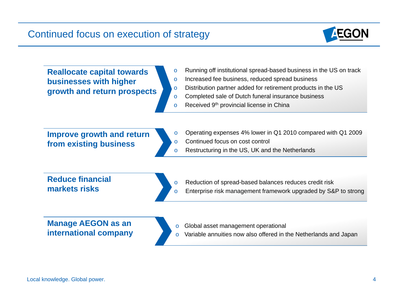

**Reallocate capital towards businesses with higher growth and return prospects** 

- oRunning off institutional spread-based business in the US on track
- oIncreased fee business, reduced spread business
- oDistribution partner added for retirement products in the US
- oCompleted sale of Dutch funeral insurance business
- oReceived 9th provincial license in China

**Improve growth and return from existing business**

- oOperating expenses 4% lower in Q1 2010 compared with Q1 2009
- oContinued focus on cost control

o

o

oRestructuring in the US, UK and the Netherlands

**Reduce financial markets risks**

- Reduction of spread-based balances reduces credit risk
- Enterprise risk management framework upgraded by S&P to strong

**Manage AEGON as an international company**

- oGlobal asset management operational
- oVariable annuities now also offered in the Netherlands and Japan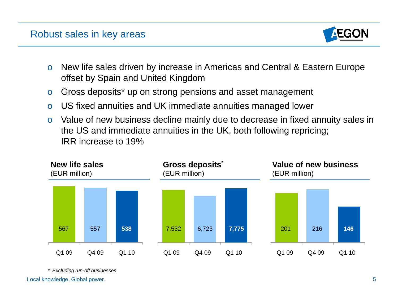### Robust sales in key areas



- o New life sales driven by increase in Americas and Central & Eastern Europe offset by Spain and United Kingdom
- oGross deposits\* up on strong pensions and asset management
- oUS fixed annuities and UK immediate annuities managed lower
- o Value of new business decline mainly due to decrease in fixed annuity sales in the US and immediate annuities in the UK, both following repricing; IRR increase to 19%



*\* Excluding run-off businesses*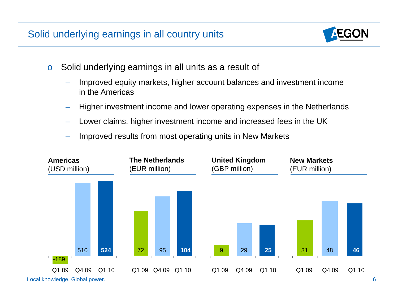# Solid underlying earnings in all country units

- o Solid underlying earnings in all units as a result of
	- Improved equity markets, higher account balances and investment income in the Americas
	- –Higher investment income and lower operating expenses in the Netherlands
	- –Lower claims, higher investment income and increased fees in the UK
	- Improved results from most operating units in New Markets

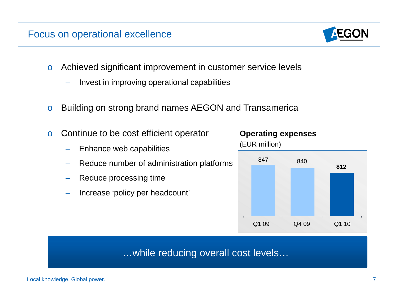#### Focus on operational excellence

- o Achieved significant improvement in customer service levels
	- Invest in improving operational capabilities
- oBuilding on strong brand names AEGON and Transamerica
- o Continue to be cost efficient operator
	- Enhance web capabilities
	- Reduce number of administration platforms
	- Reduce processing time
	- Increase 'policy per headcount'



(EUR million)



## …while reducing overall cost levels…

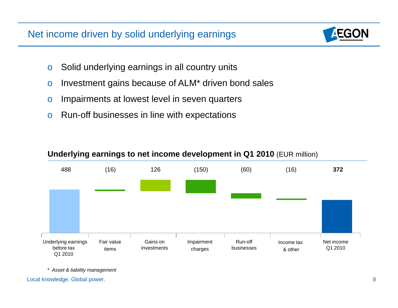# Net income driven by solid underlying earnings

- oSolid underlying earnings in all country units
- oInvestment gains because of ALM\* driven bond sales
- oImpairments at lowest level in seven quarters
- oRun-off businesses in line with expectations



#### **Underlying earnings to net income development in Q1 2010** (EUR million)

*\* Asset & liability management*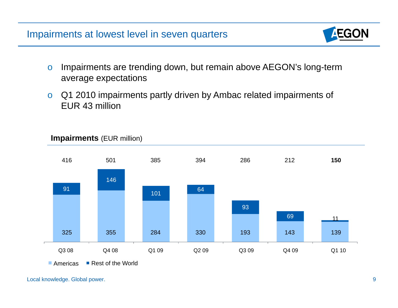

- o Impairments are trending down, but remain above AEGON's long-term average expectations
- o Q1 2010 impairments partly driven by Ambac related impairments of EUR 43 million



#### **Impairments** (EUR million)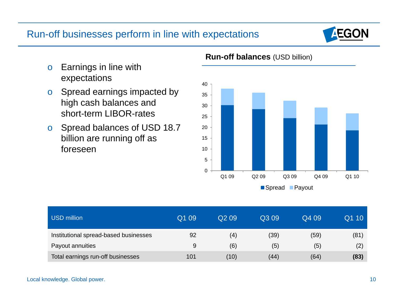



#### **Run-off balances** (USD billion)

- o Earnings in line with expectations
- o Spread earnings impacted by high cash balances and short-term LIBOR-rates
- o Spread balances of USD 18.7 billion are running off as foreseen

| <b>USD million</b>                    | Q1 09 | Q <sub>2</sub> 09 | Q3 09 | Q4 09 | Q1 10 |
|---------------------------------------|-------|-------------------|-------|-------|-------|
| Institutional spread-based businesses | 92    | (4)               | (39)  | (59)  | (81)  |
| Payout annuities                      | 9     | (6)               | (5)   | (5)   | (2)   |
| Total earnings run-off businesses     | 101   | (10)              | (44)  | (64)  | (83)  |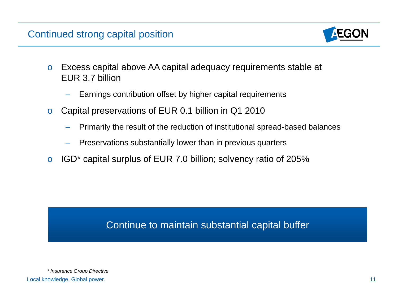# Continued strong capital position



- o Excess capital above AA capital adequacy requirements stable at EUR 3.7 billion
	- Earnings contribution offset by higher capital requirements
- o Capital preservations of EUR 0.1 billion in Q1 2010
	- Primarily the result of the reduction of institutional spread-based balances
	- Preservations substantially lower than in previous quarters
- oIGD\* capital surplus of EUR 7.0 billion; solvency ratio of 205%

# Continue to maintain substantial capital buffer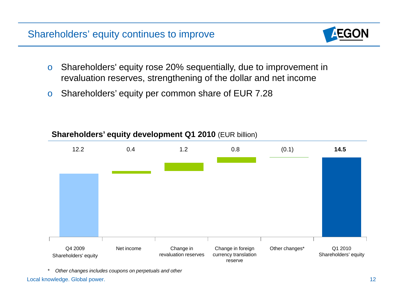# Shareholders' equity continues to improve

- o Shareholders' equity rose 20% sequentially, due to improvement in revaluation reserves, strengthening of the dollar and net income
- oShareholders' equity per common share of EUR 7.28

### **Shareholders' equity development Q1 2010** (EUR billion)



*\* Other changes includes coupons on perpetuals and other*

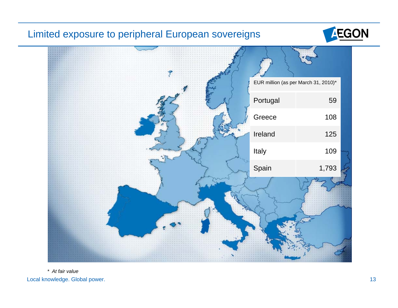## Limited exposure to peripheral European sovereigns





Local knowledge. Global power. 13 *\* At fair value*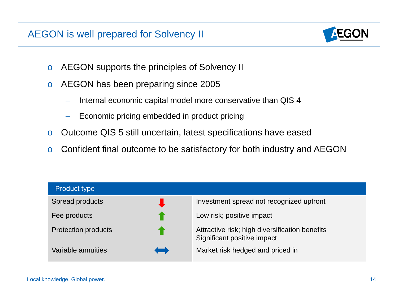# AEGON is well prepared for Solvency II

- oAEGON supports the principles of Solvency II
- o AEGON has been preparing since 2005
	- Internal economic capital model more conservative than QIS 4
	- Economic pricing embedded in product pricing
- oOutcome QIS 5 still uncertain, latest specifications have eased
- oConfident final outcome to be satisfactory for both industry and AEGON

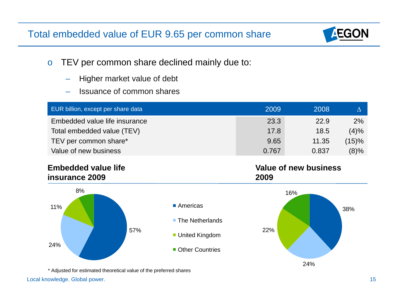# Total embedded value of EUR 9.65 per common share

- o TEV per common share declined mainly due to:
	- Higher market value of debt
	- Issuance of common shares

| EUR billion, except per share data | 2009  | 2008  |         |
|------------------------------------|-------|-------|---------|
| Embedded value life insurance      | 23.3  | 22.9  | $2\%$   |
| Total embedded value (TEV)         | 17.8  | 18.5  | $(4)\%$ |
| TEV per common share*              | 9.65  | 11.35 | (15)%   |
| Value of new business              | 0.767 | 0.837 | $(8)\%$ |

#### **Embedded value life insurance 2009**



\* Adjusted for estimated theoretical value of the preferred shares

#### Local knowledge. Global power. 15



**Value of new business** 

**2009**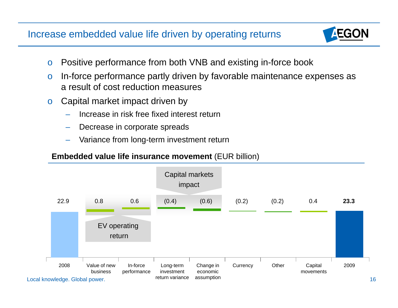# Increase embedded value life driven by operating returns



- oPositive performance from both VNB and existing in-force book
- o In-force performance partly driven by favorable maintenance expenses as a result of cost reduction measures
- o Capital market impact driven by
	- Increase in risk free fixed interest return
	- Decrease in corporate spreads
	- Variance from long-term investment return

#### **Embedded value life insurance movement** (EUR billion)

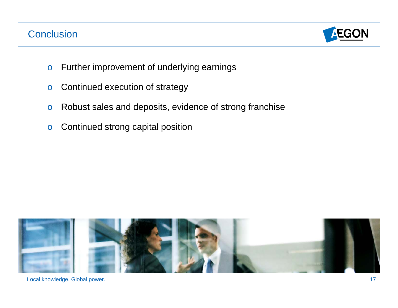### Conclusion



- oFurther improvement of underlying earnings
- oContinued execution of strategy
- oRobust sales and deposits, evidence of strong franchise
- oContinued strong capital position

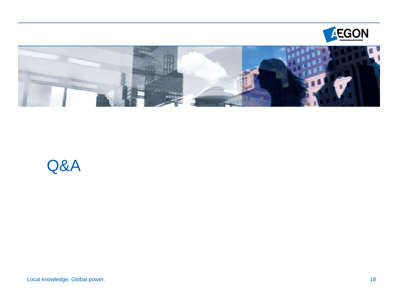



# Q&A